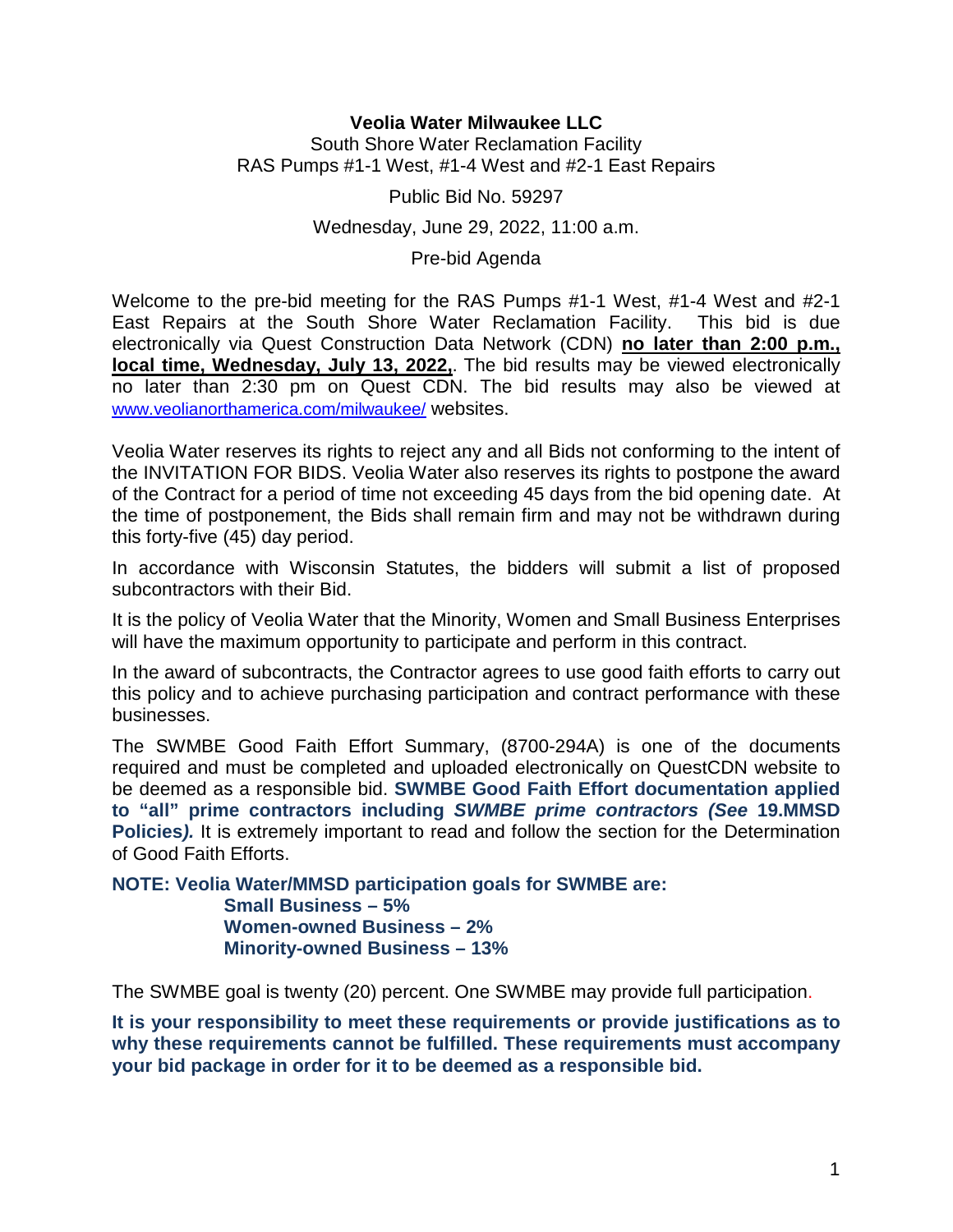# **Veolia Water Milwaukee LLC**

South Shore Water Reclamation Facility RAS Pumps #1-1 West, #1-4 West and #2-1 East Repairs

Public Bid No. 59297

## Wednesday, June 29, 2022, 11:00 a.m.

Pre-bid Agenda

Welcome to the pre-bid meeting for the RAS Pumps #1-1 West, #1-4 West and #2-1 East Repairs at the South Shore Water Reclamation Facility. This bid is due electronically via Quest Construction Data Network (CDN) **no later than 2:00 p.m., local time, Wednesday, July 13, 2022,**. The bid results may be viewed electronically no later than 2:30 pm on Quest CDN. The bid results may also be viewed at www.veolianorthamerica.com/milwaukee/ websites.

Veolia Water reserves its rights to reject any and all Bids not conforming to the intent of the INVITATION FOR BIDS. Veolia Water also reserves its rights to postpone the award of the Contract for a period of time not exceeding 45 days from the bid opening date. At the time of postponement, the Bids shall remain firm and may not be withdrawn during this forty-five (45) day period.

In accordance with Wisconsin Statutes, the bidders will submit a list of proposed subcontractors with their Bid.

It is the policy of Veolia Water that the Minority, Women and Small Business Enterprises will have the maximum opportunity to participate and perform in this contract.

In the award of subcontracts, the Contractor agrees to use good faith efforts to carry out this policy and to achieve purchasing participation and contract performance with these businesses.

The SWMBE Good Faith Effort Summary, (8700-294A) is one of the documents required and must be completed and uploaded electronically on QuestCDN website to be deemed as a responsible bid. **SWMBE Good Faith Effort documentation applied to "all" prime contractors including SWMBE prime contractors (See 19.MMSD Policies).** It is extremely important to read and follow the section for the Determination of Good Faith Efforts.

**NOTE: Veolia Water/MMSD participation goals for SWMBE are: Small Business – 5% Women-owned Business – 2% Minority-owned Business – 13%** 

The SWMBE goal is twenty (20) percent. One SWMBE may provide full participation.

**It is your responsibility to meet these requirements or provide justifications as to why these requirements cannot be fulfilled. These requirements must accompany your bid package in order for it to be deemed as a responsible bid.**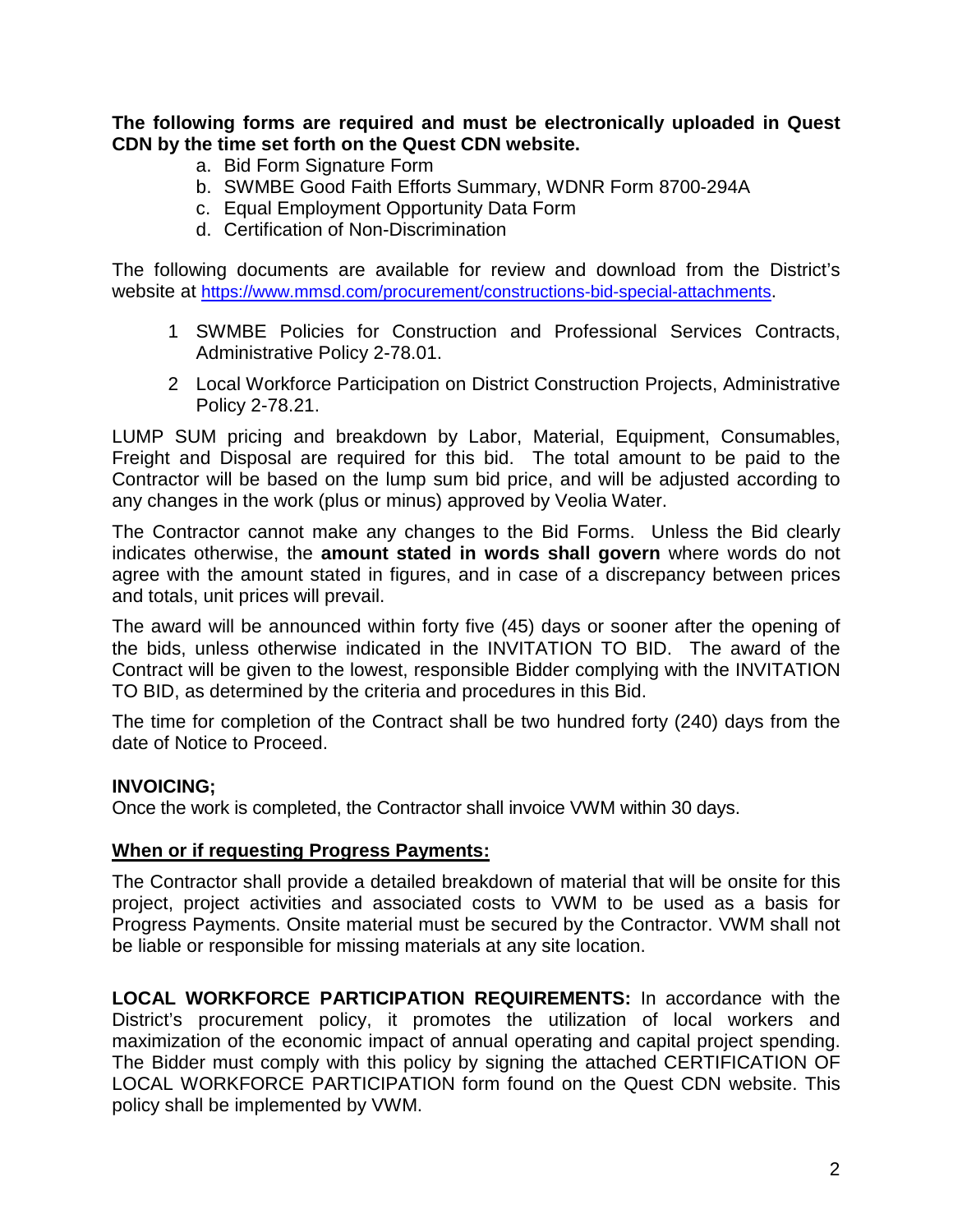**The following forms are required and must be electronically uploaded in Quest CDN by the time set forth on the Quest CDN website.**

- a. Bid Form Signature Form
- b. SWMBE Good Faith Efforts Summary, WDNR Form 8700-294A
- c. Equal Employment Opportunity Data Form
- d. Certification of Non-Discrimination

The following documents are available for review and download from the District's website at https://www.mmsd.com/procurement/constructions-bid-special-attachments.

- 1 SWMBE Policies for Construction and Professional Services Contracts, Administrative Policy 2-78.01.
- 2 Local Workforce Participation on District Construction Projects, Administrative Policy 2-78.21.

LUMP SUM pricing and breakdown by Labor, Material, Equipment, Consumables, Freight and Disposal are required for this bid. The total amount to be paid to the Contractor will be based on the lump sum bid price, and will be adjusted according to any changes in the work (plus or minus) approved by Veolia Water.

The Contractor cannot make any changes to the Bid Forms. Unless the Bid clearly indicates otherwise, the **amount stated in words shall govern** where words do not agree with the amount stated in figures, and in case of a discrepancy between prices and totals, unit prices will prevail.

The award will be announced within forty five (45) days or sooner after the opening of the bids, unless otherwise indicated in the INVITATION TO BID. The award of the Contract will be given to the lowest, responsible Bidder complying with the INVITATION TO BID, as determined by the criteria and procedures in this Bid.

The time for completion of the Contract shall be two hundred forty (240) days from the date of Notice to Proceed.

## **INVOICING;**

Once the work is completed, the Contractor shall invoice VWM within 30 days.

## **When or if requesting Progress Payments:**

The Contractor shall provide a detailed breakdown of material that will be onsite for this project, project activities and associated costs to VWM to be used as a basis for Progress Payments. Onsite material must be secured by the Contractor. VWM shall not be liable or responsible for missing materials at any site location.

**LOCAL WORKFORCE PARTICIPATION REQUIREMENTS:** In accordance with the District's procurement policy, it promotes the utilization of local workers and maximization of the economic impact of annual operating and capital project spending. The Bidder must comply with this policy by signing the attached CERTIFICATION OF LOCAL WORKFORCE PARTICIPATION form found on the Quest CDN website. This policy shall be implemented by VWM.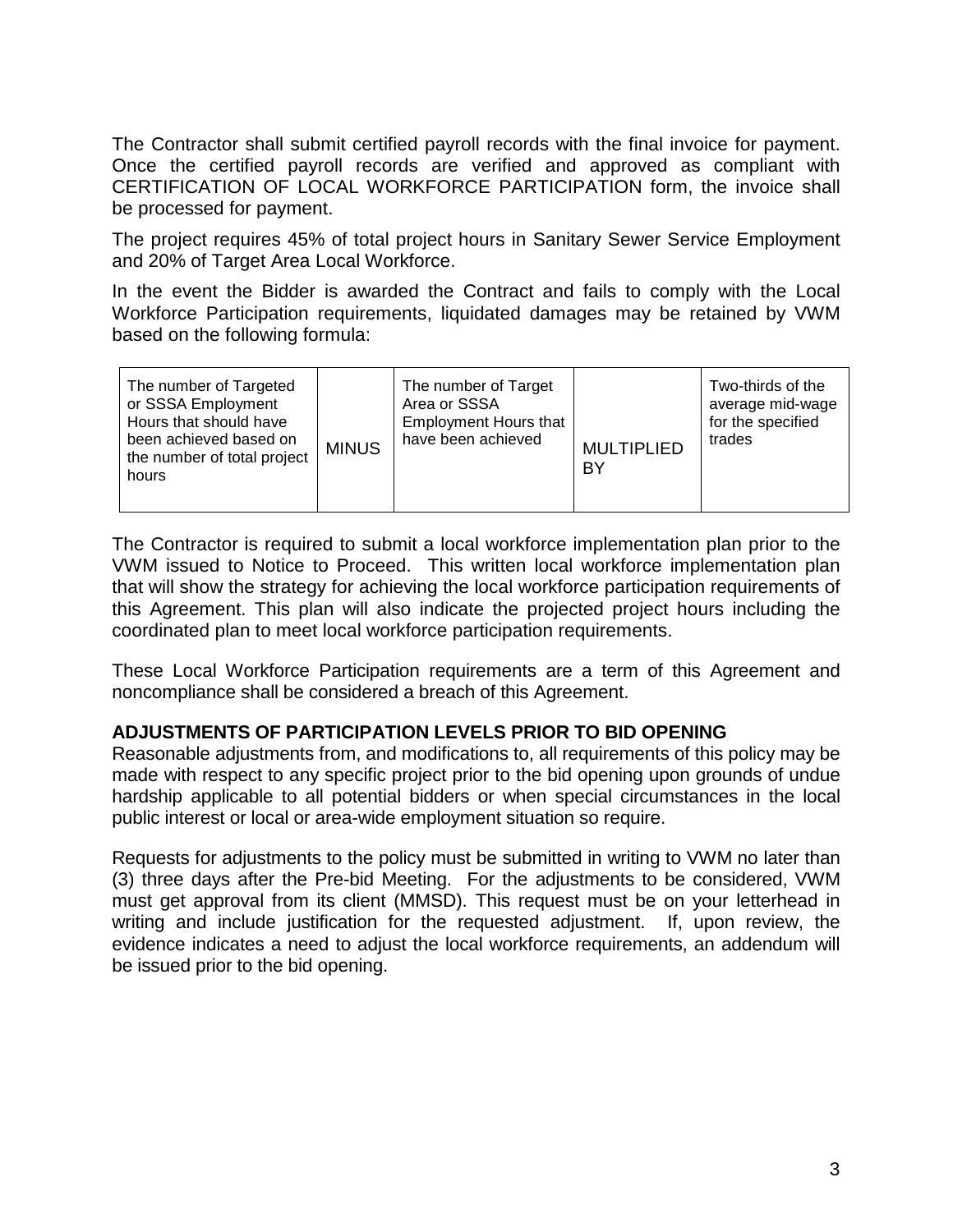The Contractor shall submit certified payroll records with the final invoice for payment. Once the certified payroll records are verified and approved as compliant with CERTIFICATION OF LOCAL WORKFORCE PARTICIPATION form, the invoice shall be processed for payment.

The project requires 45% of total project hours in Sanitary Sewer Service Employment and 20% of Target Area Local Workforce.

In the event the Bidder is awarded the Contract and fails to comply with the Local Workforce Participation requirements, liquidated damages may be retained by VWM based on the following formula:

| The number of Targeted<br>or SSSA Employment<br>Hours that should have<br>been achieved based on<br>the number of total project<br>hours | <b>MINUS</b> | The number of Target<br>Area or SSSA<br><b>Employment Hours that</b><br>have been achieved | <b>MULTIPLIED</b><br>BY | Two-thirds of the<br>average mid-wage<br>for the specified<br>trades |
|------------------------------------------------------------------------------------------------------------------------------------------|--------------|--------------------------------------------------------------------------------------------|-------------------------|----------------------------------------------------------------------|
|------------------------------------------------------------------------------------------------------------------------------------------|--------------|--------------------------------------------------------------------------------------------|-------------------------|----------------------------------------------------------------------|

The Contractor is required to submit a local workforce implementation plan prior to the VWM issued to Notice to Proceed. This written local workforce implementation plan that will show the strategy for achieving the local workforce participation requirements of this Agreement. This plan will also indicate the projected project hours including the coordinated plan to meet local workforce participation requirements.

These Local Workforce Participation requirements are a term of this Agreement and noncompliance shall be considered a breach of this Agreement.

## **ADJUSTMENTS OF PARTICIPATION LEVELS PRIOR TO BID OPENING**

Reasonable adjustments from, and modifications to, all requirements of this policy may be made with respect to any specific project prior to the bid opening upon grounds of undue hardship applicable to all potential bidders or when special circumstances in the local public interest or local or area-wide employment situation so require.

Requests for adjustments to the policy must be submitted in writing to VWM no later than (3) three days after the Pre-bid Meeting. For the adjustments to be considered, VWM must get approval from its client (MMSD). This request must be on your letterhead in writing and include justification for the requested adjustment. If, upon review, the evidence indicates a need to adjust the local workforce requirements, an addendum will be issued prior to the bid opening.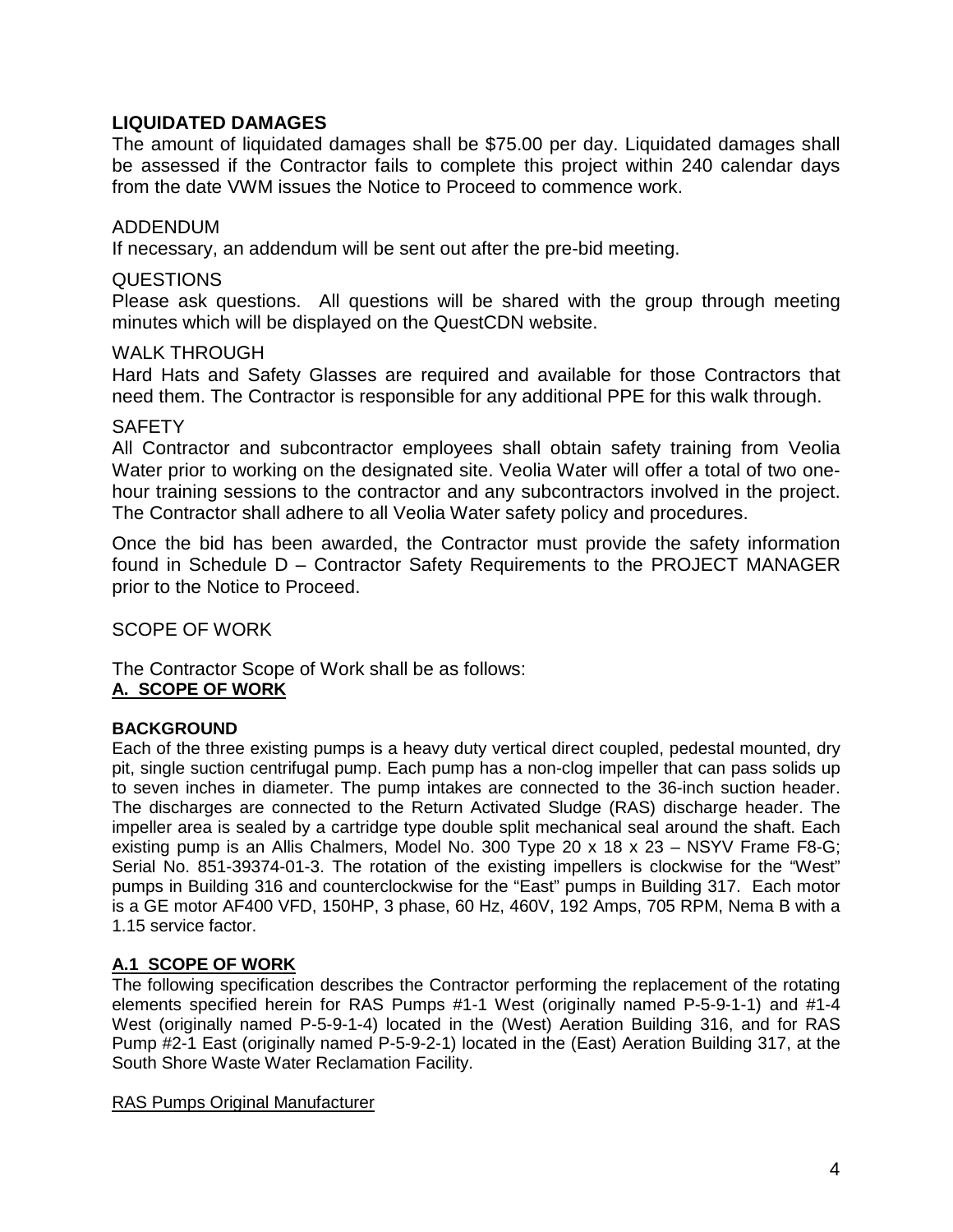# **LIQUIDATED DAMAGES**

The amount of liquidated damages shall be \$75.00 per day. Liquidated damages shall be assessed if the Contractor fails to complete this project within 240 calendar days from the date VWM issues the Notice to Proceed to commence work.

## ADDENDUM

If necessary, an addendum will be sent out after the pre-bid meeting.

### QUESTIONS

Please ask questions. All questions will be shared with the group through meeting minutes which will be displayed on the QuestCDN website.

### WAI K THROUGH

Hard Hats and Safety Glasses are required and available for those Contractors that need them. The Contractor is responsible for any additional PPE for this walk through.

### **SAFETY**

All Contractor and subcontractor employees shall obtain safety training from Veolia Water prior to working on the designated site. Veolia Water will offer a total of two onehour training sessions to the contractor and any subcontractors involved in the project. The Contractor shall adhere to all Veolia Water safety policy and procedures.

Once the bid has been awarded, the Contractor must provide the safety information found in Schedule D – Contractor Safety Requirements to the PROJECT MANAGER prior to the Notice to Proceed.

SCOPE OF WORK

The Contractor Scope of Work shall be as follows: **A. SCOPE OF WORK** 

### **BACKGROUND**

Each of the three existing pumps is a heavy duty vertical direct coupled, pedestal mounted, dry pit, single suction centrifugal pump. Each pump has a non-clog impeller that can pass solids up to seven inches in diameter. The pump intakes are connected to the 36-inch suction header. The discharges are connected to the Return Activated Sludge (RAS) discharge header. The impeller area is sealed by a cartridge type double split mechanical seal around the shaft. Each existing pump is an Allis Chalmers, Model No. 300 Type 20 x 18 x 23 – NSYV Frame F8-G; Serial No. 851-39374-01-3. The rotation of the existing impellers is clockwise for the "West" pumps in Building 316 and counterclockwise for the "East" pumps in Building 317. Each motor is a GE motor AF400 VFD, 150HP, 3 phase, 60 Hz, 460V, 192 Amps, 705 RPM, Nema B with a 1.15 service factor.

### **A.1 SCOPE OF WORK**

The following specification describes the Contractor performing the replacement of the rotating elements specified herein for RAS Pumps #1-1 West (originally named P-5-9-1-1) and #1-4 West (originally named P-5-9-1-4) located in the (West) Aeration Building 316, and for RAS Pump #2-1 East (originally named P-5-9-2-1) located in the (East) Aeration Building 317, at the South Shore Waste Water Reclamation Facility.

#### RAS Pumps Original Manufacturer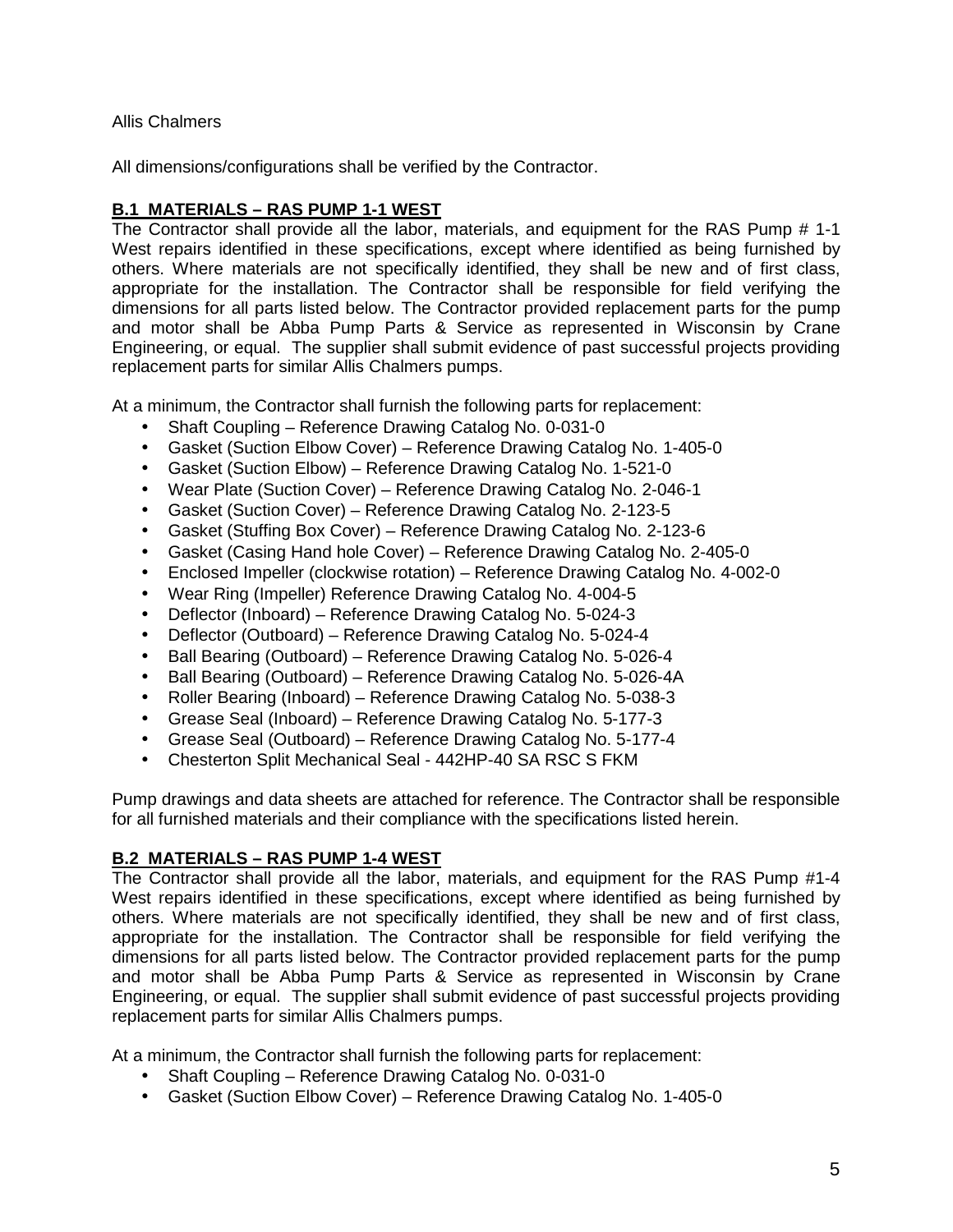Allis Chalmers

All dimensions/configurations shall be verified by the Contractor.

# **B.1 MATERIALS – RAS PUMP 1-1 WEST**

The Contractor shall provide all the labor, materials, and equipment for the RAS Pump # 1-1 West repairs identified in these specifications, except where identified as being furnished by others. Where materials are not specifically identified, they shall be new and of first class, appropriate for the installation. The Contractor shall be responsible for field verifying the dimensions for all parts listed below. The Contractor provided replacement parts for the pump and motor shall be Abba Pump Parts & Service as represented in Wisconsin by Crane Engineering, or equal. The supplier shall submit evidence of past successful projects providing replacement parts for similar Allis Chalmers pumps.

At a minimum, the Contractor shall furnish the following parts for replacement:

- Shaft Coupling Reference Drawing Catalog No. 0-031-0
- Gasket (Suction Elbow Cover) Reference Drawing Catalog No. 1-405-0
- Gasket (Suction Elbow) Reference Drawing Catalog No. 1-521-0
- Wear Plate (Suction Cover) Reference Drawing Catalog No. 2-046-1
- Gasket (Suction Cover) Reference Drawing Catalog No. 2-123-5
- Gasket (Stuffing Box Cover) Reference Drawing Catalog No. 2-123-6
- Gasket (Casing Hand hole Cover) Reference Drawing Catalog No. 2-405-0
- Enclosed Impeller (clockwise rotation) Reference Drawing Catalog No. 4-002-0
- Wear Ring (Impeller) Reference Drawing Catalog No. 4-004-5
- Deflector (Inboard) Reference Drawing Catalog No. 5-024-3
- Deflector (Outboard) Reference Drawing Catalog No. 5-024-4
- Ball Bearing (Outboard) Reference Drawing Catalog No. 5-026-4
- Ball Bearing (Outboard) Reference Drawing Catalog No. 5-026-4A
- Roller Bearing (Inboard) Reference Drawing Catalog No. 5-038-3
- Grease Seal (Inboard) Reference Drawing Catalog No. 5-177-3
- Grease Seal (Outboard) Reference Drawing Catalog No. 5-177-4
- Chesterton Split Mechanical Seal 442HP-40 SA RSC S FKM

Pump drawings and data sheets are attached for reference. The Contractor shall be responsible for all furnished materials and their compliance with the specifications listed herein.

## **B.2 MATERIALS – RAS PUMP 1-4 WEST**

The Contractor shall provide all the labor, materials, and equipment for the RAS Pump #1-4 West repairs identified in these specifications, except where identified as being furnished by others. Where materials are not specifically identified, they shall be new and of first class, appropriate for the installation. The Contractor shall be responsible for field verifying the dimensions for all parts listed below. The Contractor provided replacement parts for the pump and motor shall be Abba Pump Parts & Service as represented in Wisconsin by Crane Engineering, or equal. The supplier shall submit evidence of past successful projects providing replacement parts for similar Allis Chalmers pumps.

At a minimum, the Contractor shall furnish the following parts for replacement:

- Shaft Coupling Reference Drawing Catalog No. 0-031-0
- Gasket (Suction Elbow Cover) Reference Drawing Catalog No. 1-405-0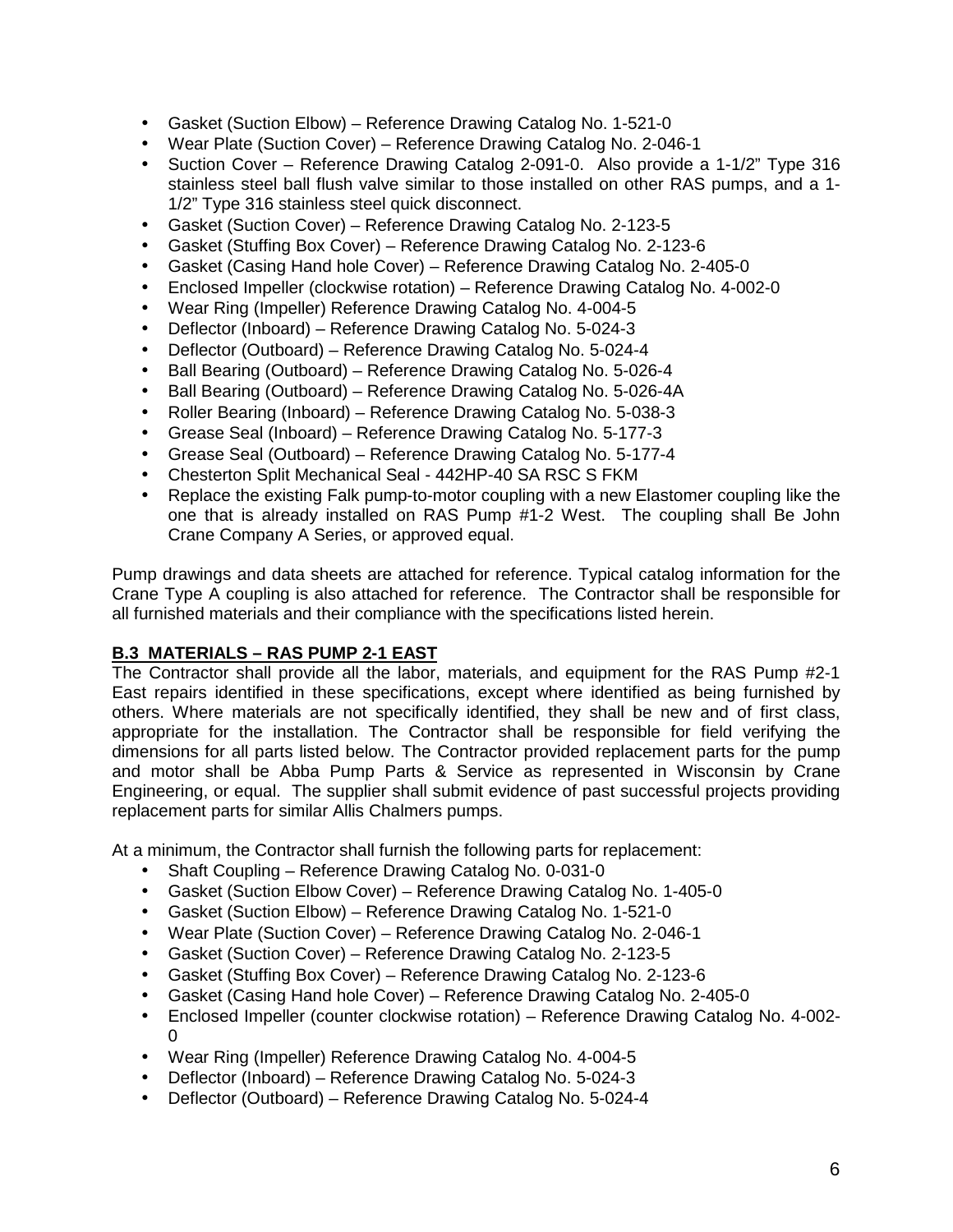- Gasket (Suction Elbow) Reference Drawing Catalog No. 1-521-0
- Wear Plate (Suction Cover) Reference Drawing Catalog No. 2-046-1
- Suction Cover Reference Drawing Catalog 2-091-0. Also provide a 1-1/2" Type 316 stainless steel ball flush valve similar to those installed on other RAS pumps, and a 1- 1/2" Type 316 stainless steel quick disconnect.
- Gasket (Suction Cover) Reference Drawing Catalog No. 2-123-5
- Gasket (Stuffing Box Cover) Reference Drawing Catalog No. 2-123-6
- Gasket (Casing Hand hole Cover) Reference Drawing Catalog No. 2-405-0
- Enclosed Impeller (clockwise rotation) Reference Drawing Catalog No. 4-002-0
- Wear Ring (Impeller) Reference Drawing Catalog No. 4-004-5
- Deflector (Inboard) Reference Drawing Catalog No. 5-024-3
- Deflector (Outboard) Reference Drawing Catalog No. 5-024-4
- Ball Bearing (Outboard) Reference Drawing Catalog No. 5-026-4
- Ball Bearing (Outboard) Reference Drawing Catalog No. 5-026-4A
- Roller Bearing (Inboard) Reference Drawing Catalog No. 5-038-3
- Grease Seal (Inboard) Reference Drawing Catalog No. 5-177-3
- Grease Seal (Outboard) Reference Drawing Catalog No. 5-177-4
- Chesterton Split Mechanical Seal 442HP-40 SA RSC S FKM
- Replace the existing Falk pump-to-motor coupling with a new Elastomer coupling like the one that is already installed on RAS Pump #1-2 West. The coupling shall Be John Crane Company A Series, or approved equal.

Pump drawings and data sheets are attached for reference. Typical catalog information for the Crane Type A coupling is also attached for reference. The Contractor shall be responsible for all furnished materials and their compliance with the specifications listed herein.

## **B.3 MATERIALS – RAS PUMP 2-1 EAST**

The Contractor shall provide all the labor, materials, and equipment for the RAS Pump #2-1 East repairs identified in these specifications, except where identified as being furnished by others. Where materials are not specifically identified, they shall be new and of first class, appropriate for the installation. The Contractor shall be responsible for field verifying the dimensions for all parts listed below. The Contractor provided replacement parts for the pump and motor shall be Abba Pump Parts & Service as represented in Wisconsin by Crane Engineering, or equal. The supplier shall submit evidence of past successful projects providing replacement parts for similar Allis Chalmers pumps.

At a minimum, the Contractor shall furnish the following parts for replacement:

- Shaft Coupling Reference Drawing Catalog No. 0-031-0
- Gasket (Suction Elbow Cover) Reference Drawing Catalog No. 1-405-0
- Gasket (Suction Elbow) Reference Drawing Catalog No. 1-521-0
- Wear Plate (Suction Cover) Reference Drawing Catalog No. 2-046-1
- Gasket (Suction Cover) Reference Drawing Catalog No. 2-123-5
- Gasket (Stuffing Box Cover) Reference Drawing Catalog No. 2-123-6
- Gasket (Casing Hand hole Cover) Reference Drawing Catalog No. 2-405-0
- Enclosed Impeller (counter clockwise rotation) Reference Drawing Catalog No. 4-002- 0
- Wear Ring (Impeller) Reference Drawing Catalog No. 4-004-5
- Deflector (Inboard) Reference Drawing Catalog No. 5-024-3
- Deflector (Outboard) Reference Drawing Catalog No. 5-024-4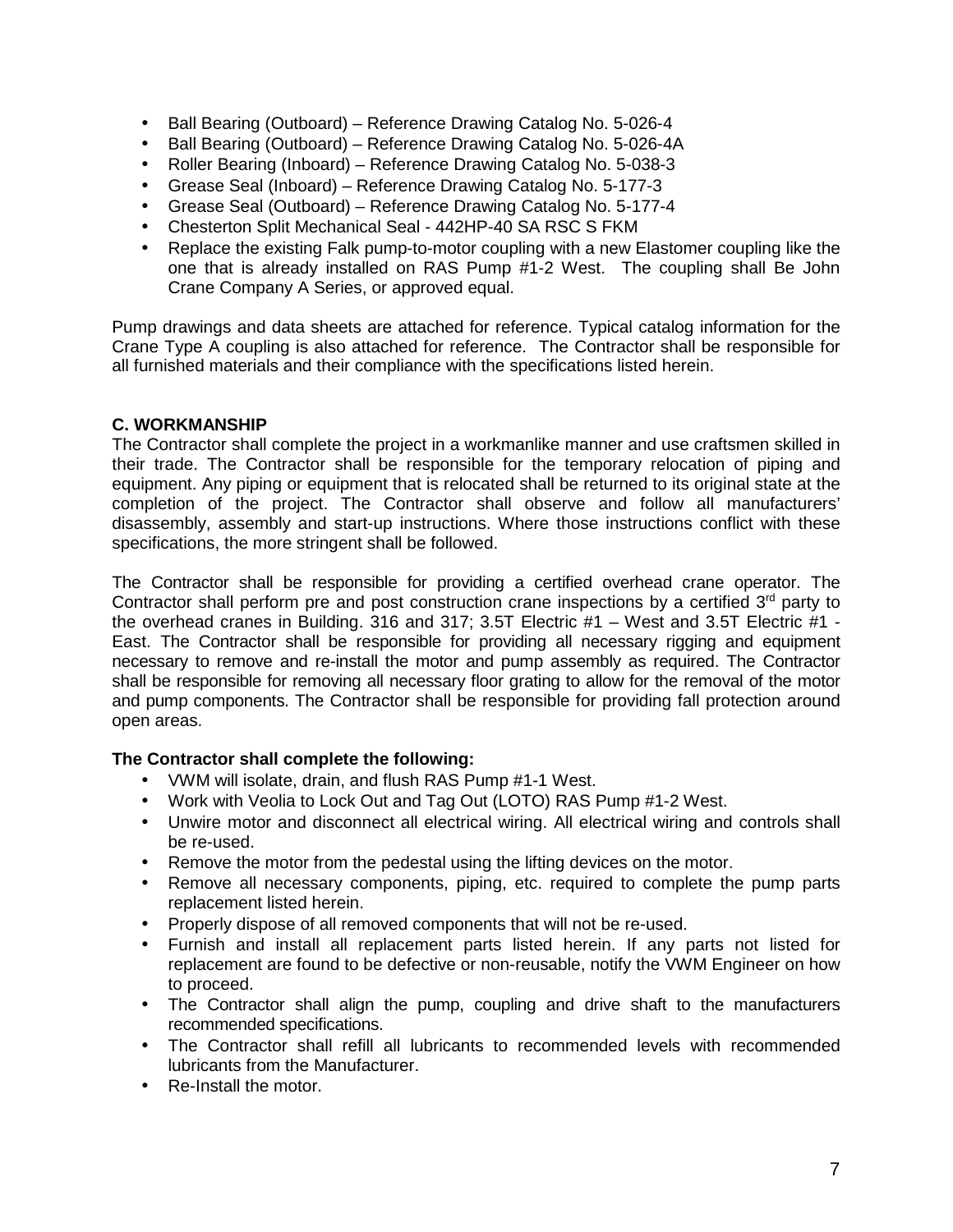- Ball Bearing (Outboard) Reference Drawing Catalog No. 5-026-4
- Ball Bearing (Outboard) Reference Drawing Catalog No. 5-026-4A
- Roller Bearing (Inboard) Reference Drawing Catalog No. 5-038-3
- Grease Seal (Inboard) Reference Drawing Catalog No. 5-177-3
- Grease Seal (Outboard) Reference Drawing Catalog No. 5-177-4
- Chesterton Split Mechanical Seal 442HP-40 SA RSC S FKM
- Replace the existing Falk pump-to-motor coupling with a new Elastomer coupling like the one that is already installed on RAS Pump #1-2 West. The coupling shall Be John Crane Company A Series, or approved equal.

Pump drawings and data sheets are attached for reference. Typical catalog information for the Crane Type A coupling is also attached for reference. The Contractor shall be responsible for all furnished materials and their compliance with the specifications listed herein.

### **C. WORKMANSHIP**

The Contractor shall complete the project in a workmanlike manner and use craftsmen skilled in their trade. The Contractor shall be responsible for the temporary relocation of piping and equipment. Any piping or equipment that is relocated shall be returned to its original state at the completion of the project. The Contractor shall observe and follow all manufacturers' disassembly, assembly and start-up instructions. Where those instructions conflict with these specifications, the more stringent shall be followed.

The Contractor shall be responsible for providing a certified overhead crane operator. The Contractor shall perform pre and post construction crane inspections by a certified  $3<sup>rd</sup>$  party to the overhead cranes in Building. 316 and 317; 3.5T Electric #1 – West and 3.5T Electric #1 - East. The Contractor shall be responsible for providing all necessary rigging and equipment necessary to remove and re-install the motor and pump assembly as required. The Contractor shall be responsible for removing all necessary floor grating to allow for the removal of the motor and pump components. The Contractor shall be responsible for providing fall protection around open areas.

### **The Contractor shall complete the following:**

- VWM will isolate, drain, and flush RAS Pump #1-1 West.
- Work with Veolia to Lock Out and Tag Out (LOTO) RAS Pump #1-2 West.
- Unwire motor and disconnect all electrical wiring. All electrical wiring and controls shall be re-used.
- Remove the motor from the pedestal using the lifting devices on the motor.
- Remove all necessary components, piping, etc. required to complete the pump parts replacement listed herein.
- Properly dispose of all removed components that will not be re-used.
- Furnish and install all replacement parts listed herein. If any parts not listed for replacement are found to be defective or non-reusable, notify the VWM Engineer on how to proceed.
- The Contractor shall align the pump, coupling and drive shaft to the manufacturers recommended specifications.
- The Contractor shall refill all lubricants to recommended levels with recommended lubricants from the Manufacturer.
- Re-Install the motor.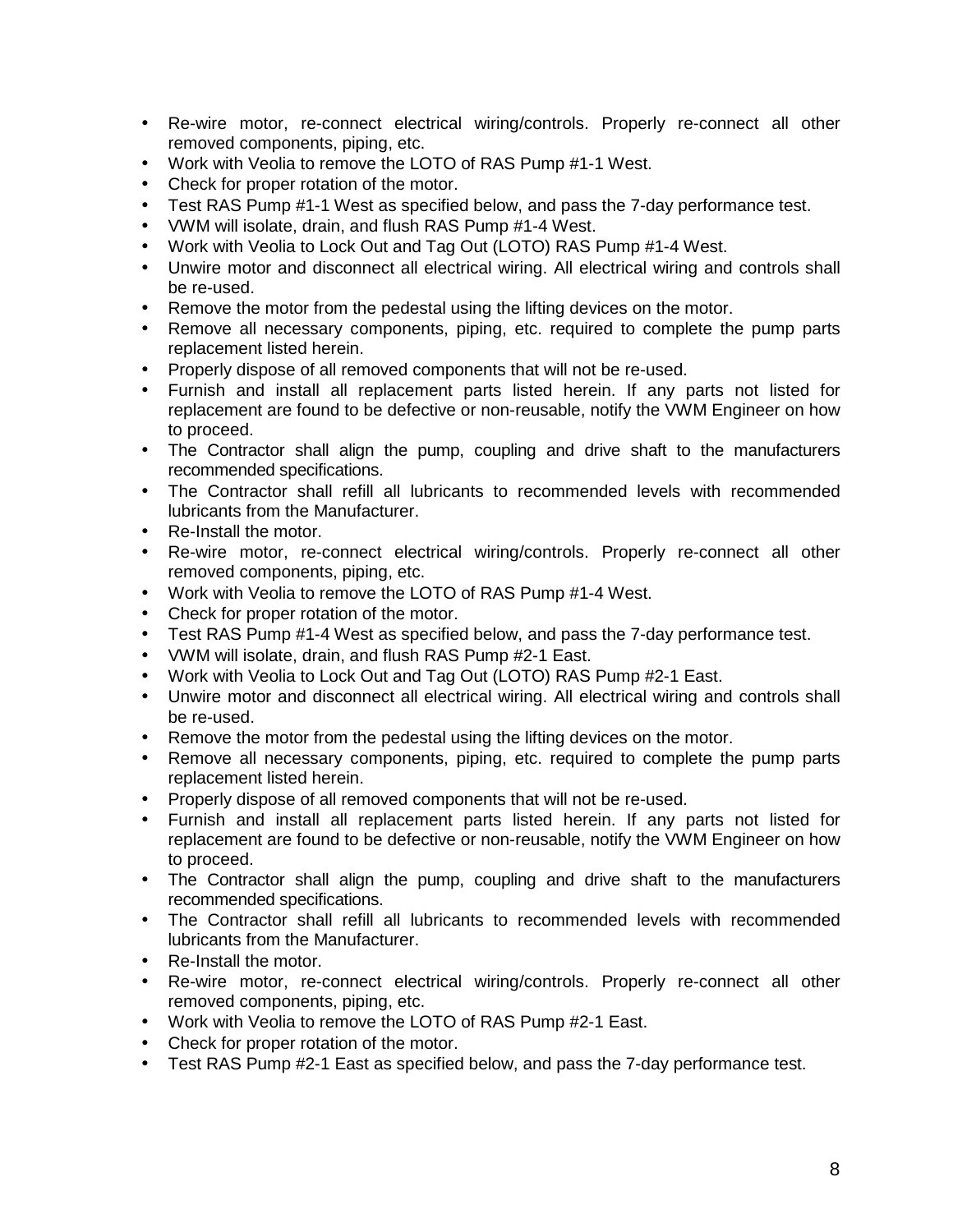- Re-wire motor, re-connect electrical wiring/controls. Properly re-connect all other removed components, piping, etc.
- Work with Veolia to remove the LOTO of RAS Pump #1-1 West.
- Check for proper rotation of the motor.
- Test RAS Pump #1-1 West as specified below, and pass the 7-day performance test.
- VWM will isolate, drain, and flush RAS Pump #1-4 West.
- Work with Veolia to Lock Out and Tag Out (LOTO) RAS Pump #1-4 West.
- Unwire motor and disconnect all electrical wiring. All electrical wiring and controls shall be re-used.
- Remove the motor from the pedestal using the lifting devices on the motor.
- Remove all necessary components, piping, etc. required to complete the pump parts replacement listed herein.
- Properly dispose of all removed components that will not be re-used.
- Furnish and install all replacement parts listed herein. If any parts not listed for replacement are found to be defective or non-reusable, notify the VWM Engineer on how to proceed.
- The Contractor shall align the pump, coupling and drive shaft to the manufacturers recommended specifications.
- The Contractor shall refill all lubricants to recommended levels with recommended lubricants from the Manufacturer.
- Re-Install the motor.
- Re-wire motor, re-connect electrical wiring/controls. Properly re-connect all other removed components, piping, etc.
- Work with Veolia to remove the LOTO of RAS Pump #1-4 West.
- Check for proper rotation of the motor.
- Test RAS Pump #1-4 West as specified below, and pass the 7-day performance test.
- VWM will isolate, drain, and flush RAS Pump #2-1 East.
- Work with Veolia to Lock Out and Tag Out (LOTO) RAS Pump #2-1 East.
- Unwire motor and disconnect all electrical wiring. All electrical wiring and controls shall be re-used.
- Remove the motor from the pedestal using the lifting devices on the motor.
- Remove all necessary components, piping, etc. required to complete the pump parts replacement listed herein.
- Properly dispose of all removed components that will not be re-used.
- Furnish and install all replacement parts listed herein. If any parts not listed for replacement are found to be defective or non-reusable, notify the VWM Engineer on how to proceed.
- The Contractor shall align the pump, coupling and drive shaft to the manufacturers recommended specifications.
- The Contractor shall refill all lubricants to recommended levels with recommended lubricants from the Manufacturer.
- Re-Install the motor.
- Re-wire motor, re-connect electrical wiring/controls. Properly re-connect all other removed components, piping, etc.
- Work with Veolia to remove the LOTO of RAS Pump #2-1 East.
- Check for proper rotation of the motor.
- Test RAS Pump #2-1 East as specified below, and pass the 7-day performance test.